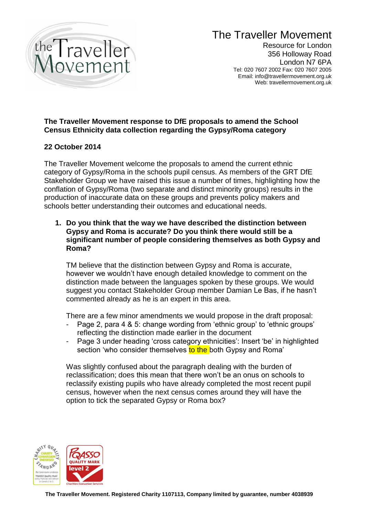

# The Traveller Movement

Resource for London 356 Holloway Road London N7 6PA Tel: 020 7607 2002 Fax: 020 7607 2005 Email: info@travellermovement.org.uk Web: travellermovement.org.uk

# **The Traveller Movement response to DfE proposals to amend the School Census Ethnicity data collection regarding the Gypsy/Roma category**

## **22 October 2014**

The Traveller Movement welcome the proposals to amend the current ethnic category of Gypsy/Roma in the schools pupil census. As members of the GRT DfE Stakeholder Group we have raised this issue a number of times, highlighting how the conflation of Gypsy/Roma (two separate and distinct minority groups) results in the production of inaccurate data on these groups and prevents policy makers and schools better understanding their outcomes and educational needs.

**1. Do you think that the way we have described the distinction between Gypsy and Roma is accurate? Do you think there would still be a significant number of people considering themselves as both Gypsy and Roma?**

TM believe that the distinction between Gypsy and Roma is accurate, however we wouldn't have enough detailed knowledge to comment on the distinction made between the languages spoken by these groups. We would suggest you contact Stakeholder Group member Damian Le Bas, if he hasn't commented already as he is an expert in this area.

There are a few minor amendments we would propose in the draft proposal:

- Page 2, para 4 & 5: change wording from 'ethnic group' to 'ethnic groups' reflecting the distinction made earlier in the document
- Page 3 under heading 'cross category ethnicities': Insert 'be' in highlighted section 'who consider themselves to the both Gypsy and Roma'

Was slightly confused about the paragraph dealing with the burden of reclassification; does this mean that there won't be an onus on schools to reclassify existing pupils who have already completed the most recent pupil census, however when the next census comes around they will have the option to tick the separated Gypsy or Roma box?